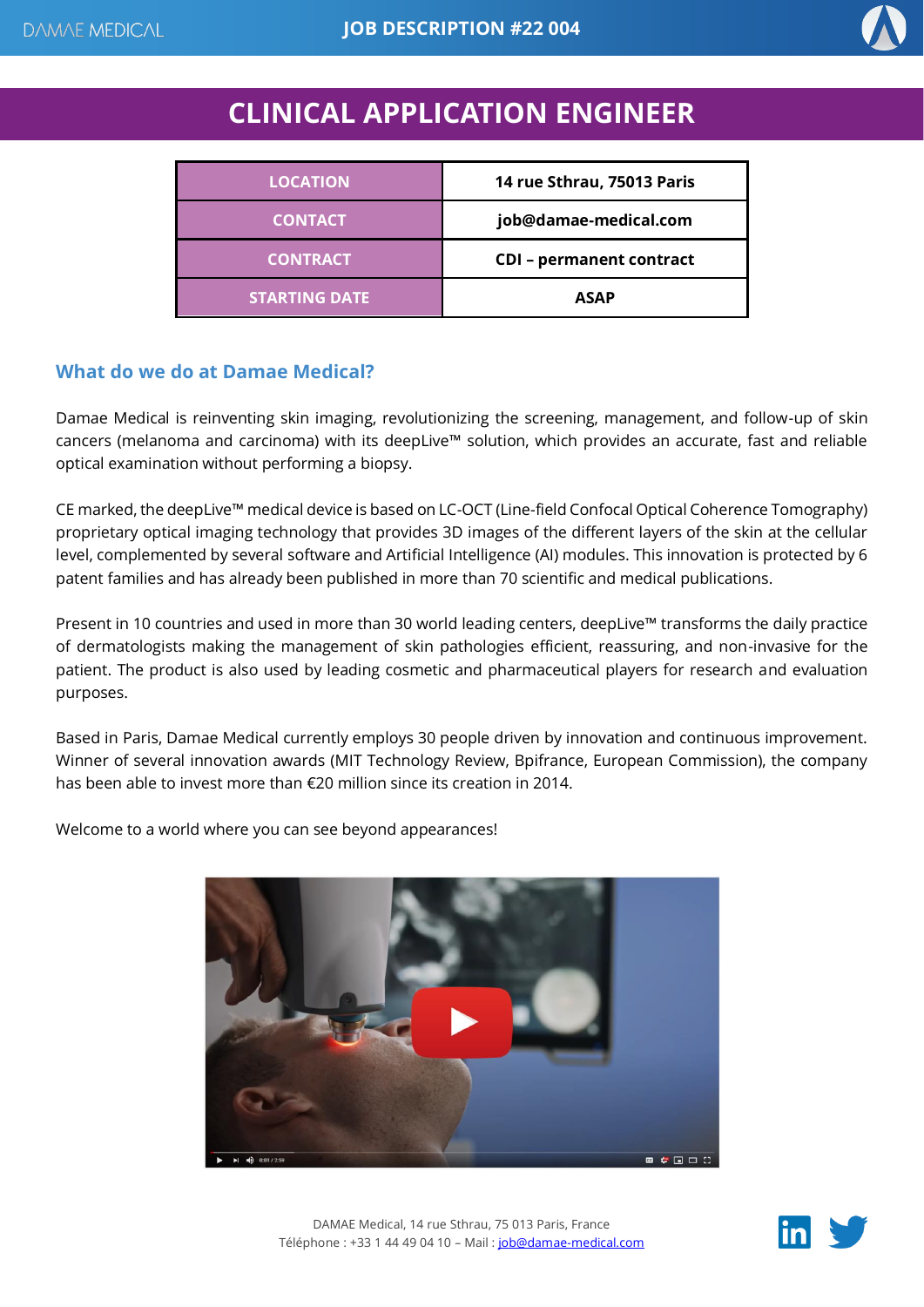

# **CLINICAL APPLICATION ENGINEER**

| <b>LOCATION</b>      | 14 rue Sthrau, 75013 Paris      |
|----------------------|---------------------------------|
| <b>CONTACT</b>       | job@damae-medical.com           |
| <b>CONTRACT</b>      | <b>CDI</b> - permanent contract |
| <b>STARTING DATE</b> | <b>ASAP</b>                     |

## **What do we do at Damae Medical?**

Damae Medical is reinventing skin imaging, revolutionizing the screening, management, and follow-up of skin cancers (melanoma and carcinoma) with its deepLive™ solution, which provides an accurate, fast and reliable optical examination without performing a biopsy.

CE marked, the deepLive™ medical device is based on LC-OCT (Line-field Confocal Optical Coherence Tomography) proprietary optical imaging technology that provides 3D images of the different layers of the skin at the cellular level, complemented by several software and Artificial Intelligence (AI) modules. This innovation is protected by 6 patent families and has already been published in more than 70 scientific and medical publications.

Present in 10 countries and used in more than 30 world leading centers, deepLive™ transforms the daily practice of dermatologists making the management of skin pathologies efficient, reassuring, and non-invasive for the patient. The product is also used by leading cosmetic and pharmaceutical players for research and evaluation purposes.

Based in Paris, Damae Medical currently employs 30 people driven by innovation and continuous improvement. Winner of several innovation awards (MIT Technology Review, Bpifrance, European Commission), the company has been able to invest more than €20 million since its creation in 2014.

Welcome to a world where you can see beyond appearances!